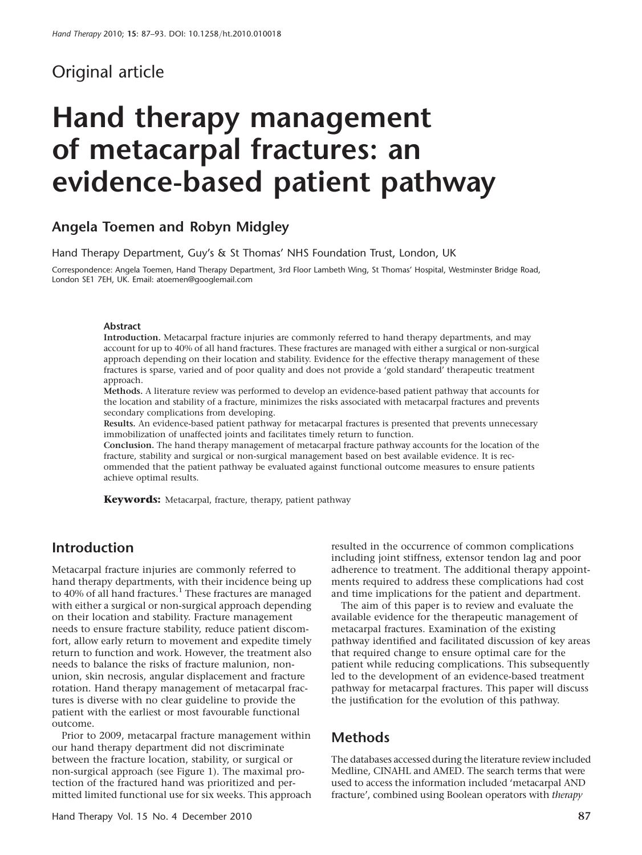# Original article

# Hand therapy management of metacarpal fractures: an evidence-based patient pathway

# Angela Toemen and Robyn Midgley

Hand Therapy Department, Guy's & St Thomas' NHS Foundation Trust, London, UK

Correspondence: Angela Toemen, Hand Therapy Department, 3rd Floor Lambeth Wing, St Thomas' Hospital, Westminster Bridge Road, London SE1 7EH, UK. Email: atoemen@googlemail.com

#### **Abstract**

Introduction. Metacarpal fracture injuries are commonly referred to hand therapy departments, and may account for up to 40% of all hand fractures. These fractures are managed with either a surgical or non-surgical approach depending on their location and stability. Evidence for the effective therapy management of these fractures is sparse, varied and of poor quality and does not provide a 'gold standard' therapeutic treatment approach.

Methods. A literature review was performed to develop an evidence-based patient pathway that accounts for the location and stability of a fracture, minimizes the risks associated with metacarpal fractures and prevents secondary complications from developing.

Results. An evidence-based patient pathway for metacarpal fractures is presented that prevents unnecessary immobilization of unaffected joints and facilitates timely return to function.

Conclusion. The hand therapy management of metacarpal fracture pathway accounts for the location of the fracture, stability and surgical or non-surgical management based on best available evidence. It is recommended that the patient pathway be evaluated against functional outcome measures to ensure patients achieve optimal results.

Keywords: Metacarpal, fracture, therapy, patient pathway

# Introduction

Metacarpal fracture injuries are commonly referred to hand therapy departments, with their incidence being up to 40% of all hand fractures.<sup>1</sup> These fractures are managed with either a surgical or non-surgical approach depending on their location and stability. Fracture management needs to ensure fracture stability, reduce patient discomfort, allow early return to movement and expedite timely return to function and work. However, the treatment also needs to balance the risks of fracture malunion, nonunion, skin necrosis, angular displacement and fracture rotation. Hand therapy management of metacarpal fractures is diverse with no clear guideline to provide the patient with the earliest or most favourable functional outcome.

Prior to 2009, metacarpal fracture management within our hand therapy department did not discriminate between the fracture location, stability, or surgical or non-surgical approach (see Figure 1). The maximal protection of the fractured hand was prioritized and permitted limited functional use for six weeks. This approach resulted in the occurrence of common complications including joint stiffness, extensor tendon lag and poor adherence to treatment. The additional therapy appointments required to address these complications had cost and time implications for the patient and department.

The aim of this paper is to review and evaluate the available evidence for the therapeutic management of metacarpal fractures. Examination of the existing pathway identified and facilitated discussion of key areas that required change to ensure optimal care for the patient while reducing complications. This subsequently led to the development of an evidence-based treatment pathway for metacarpal fractures. This paper will discuss the justification for the evolution of this pathway.

# **Methods**

The databases accessed during the literature review included Medline, CINAHL and AMED. The search terms that were used to access the information included 'metacarpal AND fracture', combined using Boolean operators with therapy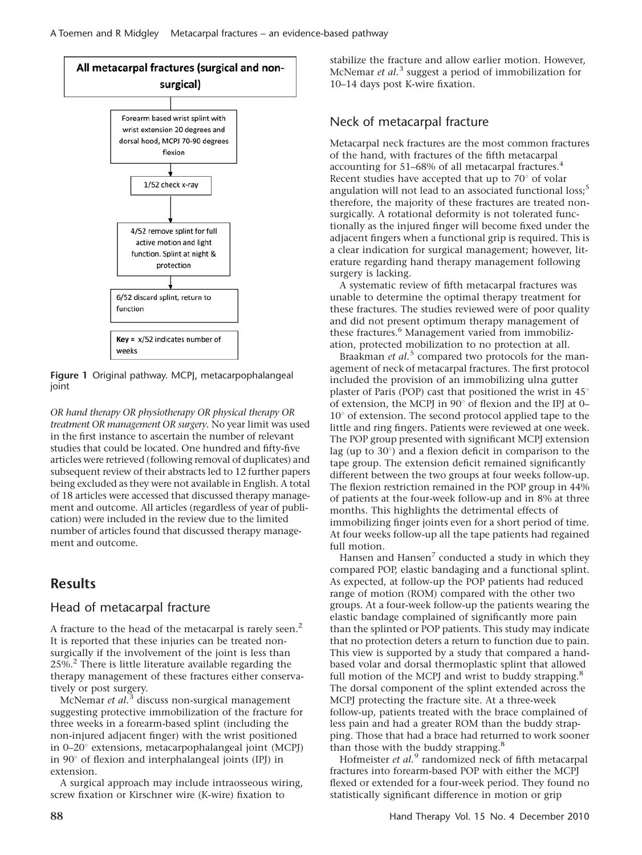

Figure 1 Original pathway. MCPJ, metacarpophalangeal joint

OR hand therapy OR physiotherapy OR physical therapy OR treatment OR management OR surgery. No year limit was used in the first instance to ascertain the number of relevant studies that could be located. One hundred and fifty-five articles were retrieved (following removal of duplicates) and subsequent review of their abstracts led to 12 further papers being excluded as they were not available in English. A total of 18 articles were accessed that discussed therapy management and outcome. All articles (regardless of year of publication) were included in the review due to the limited number of articles found that discussed therapy management and outcome.

# **Results**

# Head of metacarpal fracture

A fracture to the head of the metacarpal is rarely seen.<sup>2</sup> It is reported that these injuries can be treated nonsurgically if the involvement of the joint is less than  $25\%$ <sup>2</sup>. There is little literature available regarding the therapy management of these fractures either conservatively or post surgery.

McNemar et  $al$ <sup>3</sup> discuss non-surgical management suggesting protective immobilization of the fracture for three weeks in a forearm-based splint (including the non-injured adjacent finger) with the wrist positioned in  $0-20^\circ$  extensions, metacarpophalangeal joint (MCPJ) in  $90^\circ$  of flexion and interphalangeal joints (IPJ) in extension.

A surgical approach may include intraosseous wiring, screw fixation or Kirschner wire (K-wire) fixation to

stabilize the fracture and allow earlier motion. However, McNemar *et al.*<sup>3</sup> suggest a period of immobilization for 10–14 days post K-wire fixation.

## Neck of metacarpal fracture

Metacarpal neck fractures are the most common fractures of the hand, with fractures of the fifth metacarpal accounting for 51–68% of all metacarpal fractures.<sup>4</sup> Recent studies have accepted that up to  $70^{\circ}$  of volar angulation will not lead to an associated functional loss;<sup>5</sup> therefore, the majority of these fractures are treated nonsurgically. A rotational deformity is not tolerated functionally as the injured finger will become fixed under the adjacent fingers when a functional grip is required. This is a clear indication for surgical management; however, literature regarding hand therapy management following surgery is lacking.

A systematic review of fifth metacarpal fractures was unable to determine the optimal therapy treatment for these fractures. The studies reviewed were of poor quality and did not present optimum therapy management of these fractures.<sup>6</sup> Management varied from immobilization, protected mobilization to no protection at all.

Braakman et al.<sup>5</sup> compared two protocols for the management of neck of metacarpal fractures. The first protocol included the provision of an immobilizing ulna gutter plaster of Paris (POP) cast that positioned the wrist in  $45^\circ$ of extension, the MCPJ in  $90^\circ$  of flexion and the IPJ at 0–  $10^{\circ}$  of extension. The second protocol applied tape to the little and ring fingers. Patients were reviewed at one week. The POP group presented with significant MCPJ extension lag (up to  $30^{\circ}$ ) and a flexion deficit in comparison to the tape group. The extension deficit remained significantly different between the two groups at four weeks follow-up. The flexion restriction remained in the POP group in 44% of patients at the four-week follow-up and in 8% at three months. This highlights the detrimental effects of immobilizing finger joints even for a short period of time. At four weeks follow-up all the tape patients had regained full motion.

Hansen and  $Hansen<sup>7</sup>$  conducted a study in which they compared POP, elastic bandaging and a functional splint. As expected, at follow-up the POP patients had reduced range of motion (ROM) compared with the other two groups. At a four-week follow-up the patients wearing the elastic bandage complained of significantly more pain than the splinted or POP patients. This study may indicate that no protection deters a return to function due to pain. This view is supported by a study that compared a handbased volar and dorsal thermoplastic splint that allowed full motion of the MCPJ and wrist to buddy strapping.<sup>8</sup> The dorsal component of the splint extended across the MCPJ protecting the fracture site. At a three-week follow-up, patients treated with the brace complained of less pain and had a greater ROM than the buddy strapping. Those that had a brace had returned to work sooner than those with the buddy strapping.<sup>8</sup>

Hofmeister *et al.*<sup>9</sup> randomized neck of fifth metacarpal fractures into forearm-based POP with either the MCPJ flexed or extended for a four-week period. They found no statistically significant difference in motion or grip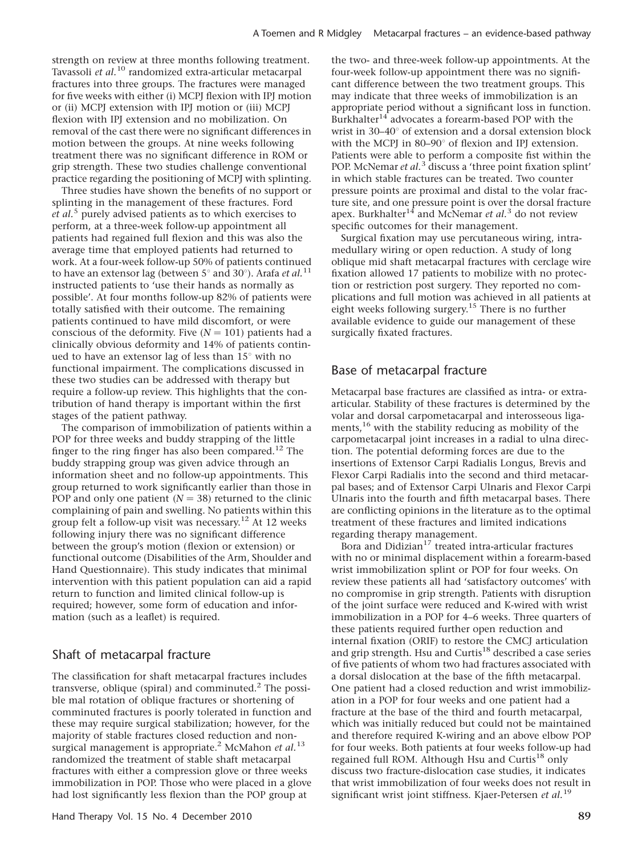strength on review at three months following treatment. Tavassoli et al.<sup>10</sup> randomized extra-articular metacarpal fractures into three groups. The fractures were managed for five weeks with either (i) MCPJ flexion with IPJ motion or (ii) MCPJ extension with IPJ motion or (iii) MCPJ flexion with IPJ extension and no mobilization. On removal of the cast there were no significant differences in motion between the groups. At nine weeks following treatment there was no significant difference in ROM or grip strength. These two studies challenge conventional practice regarding the positioning of MCPJ with splinting.

Three studies have shown the benefits of no support or splinting in the management of these fractures. Ford et al.<sup>5</sup> purely advised patients as to which exercises to perform, at a three-week follow-up appointment all patients had regained full flexion and this was also the average time that employed patients had returned to work. At a four-week follow-up 50% of patients continued to have an extensor lag (between  $5^{\circ}$  and  $30^{\circ}$ ). Arafa *et al.*<sup>11</sup> instructed patients to 'use their hands as normally as possible'. At four months follow-up 82% of patients were totally satisfied with their outcome. The remaining patients continued to have mild discomfort, or were conscious of the deformity. Five  $(N = 101)$  patients had a clinically obvious deformity and 14% of patients continued to have an extensor lag of less than  $15^{\circ}$  with no functional impairment. The complications discussed in these two studies can be addressed with therapy but require a follow-up review. This highlights that the contribution of hand therapy is important within the first stages of the patient pathway.

The comparison of immobilization of patients within a POP for three weeks and buddy strapping of the little finger to the ring finger has also been compared.<sup>12</sup> The buddy strapping group was given advice through an information sheet and no follow-up appointments. This group returned to work significantly earlier than those in POP and only one patient  $(N = 38)$  returned to the clinic complaining of pain and swelling. No patients within this group felt a follow-up visit was necessary.12 At 12 weeks following injury there was no significant difference between the group's motion (flexion or extension) or functional outcome (Disabilities of the Arm, Shoulder and Hand Questionnaire). This study indicates that minimal intervention with this patient population can aid a rapid return to function and limited clinical follow-up is required; however, some form of education and information (such as a leaflet) is required.

# Shaft of metacarpal fracture

The classification for shaft metacarpal fractures includes transverse, oblique (spiral) and comminuted. $^2$  The possible mal rotation of oblique fractures or shortening of comminuted fractures is poorly tolerated in function and these may require surgical stabilization; however, for the majority of stable fractures closed reduction and nonsurgical management is appropriate.<sup>2</sup> McMahon et al.<sup>13</sup> randomized the treatment of stable shaft metacarpal fractures with either a compression glove or three weeks immobilization in POP. Those who were placed in a glove had lost significantly less flexion than the POP group at

the two- and three-week follow-up appointments. At the four-week follow-up appointment there was no significant difference between the two treatment groups. This may indicate that three weeks of immobilization is an appropriate period without a significant loss in function. Burkhalter<sup>14</sup> advocates a forearm-based POP with the wrist in  $30-40^\circ$  of extension and a dorsal extension block with the MCPJ in 80–90 $^{\circ}$  of flexion and IPJ extension. Patients were able to perform a composite fist within the POP. McNemar et al.<sup>3</sup> discuss a 'three point fixation splint' in which stable fractures can be treated. Two counter pressure points are proximal and distal to the volar fracture site, and one pressure point is over the dorsal fracture apex. Burkhalter<sup>14</sup> and McNemar *et al.*<sup>3</sup> do not review specific outcomes for their management.

Surgical fixation may use percutaneous wiring, intramedullary wiring or open reduction. A study of long oblique mid shaft metacarpal fractures with cerclage wire fixation allowed 17 patients to mobilize with no protection or restriction post surgery. They reported no complications and full motion was achieved in all patients at eight weeks following surgery.<sup>15</sup> There is no further available evidence to guide our management of these surgically fixated fractures.

#### Base of metacarpal fracture

Metacarpal base fractures are classified as intra- or extraarticular. Stability of these fractures is determined by the volar and dorsal carpometacarpal and interosseous ligaments, $16$  with the stability reducing as mobility of the carpometacarpal joint increases in a radial to ulna direction. The potential deforming forces are due to the insertions of Extensor Carpi Radialis Longus, Brevis and Flexor Carpi Radialis into the second and third metacarpal bases; and of Extensor Carpi Ulnaris and Flexor Carpi Ulnaris into the fourth and fifth metacarpal bases. There are conflicting opinions in the literature as to the optimal treatment of these fractures and limited indications regarding therapy management.

Bora and Didizian $17$  treated intra-articular fractures with no or minimal displacement within a forearm-based wrist immobilization splint or POP for four weeks. On review these patients all had 'satisfactory outcomes' with no compromise in grip strength. Patients with disruption of the joint surface were reduced and K-wired with wrist immobilization in a POP for 4–6 weeks. Three quarters of these patients required further open reduction and internal fixation (ORIF) to restore the CMCJ articulation and grip strength. Hsu and Curtis<sup>18</sup> described a case series of five patients of whom two had fractures associated with a dorsal dislocation at the base of the fifth metacarpal. One patient had a closed reduction and wrist immobilization in a POP for four weeks and one patient had a fracture at the base of the third and fourth metacarpal, which was initially reduced but could not be maintained and therefore required K-wiring and an above elbow POP for four weeks. Both patients at four weeks follow-up had regained full ROM. Although Hsu and Curtis<sup>18</sup> only discuss two fracture-dislocation case studies, it indicates that wrist immobilization of four weeks does not result in significant wrist joint stiffness. Kjaer-Petersen et al.<sup>19</sup>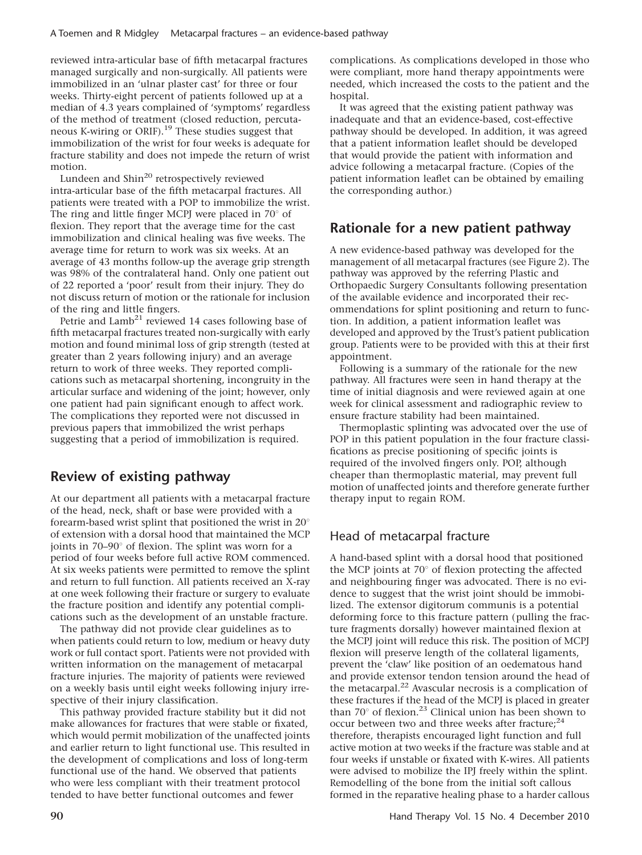reviewed intra-articular base of fifth metacarpal fractures managed surgically and non-surgically. All patients were immobilized in an 'ulnar plaster cast' for three or four weeks. Thirty-eight percent of patients followed up at a median of 4.3 years complained of 'symptoms' regardless of the method of treatment (closed reduction, percutaneous K-wiring or ORIF).<sup>19</sup> These studies suggest that immobilization of the wrist for four weeks is adequate for fracture stability and does not impede the return of wrist motion.

Lundeen and Shin<sup>20</sup> retrospectively reviewed intra-articular base of the fifth metacarpal fractures. All patients were treated with a POP to immobilize the wrist. The ring and little finger MCPJ were placed in  $70^{\circ}$  of flexion. They report that the average time for the cast immobilization and clinical healing was five weeks. The average time for return to work was six weeks. At an average of 43 months follow-up the average grip strength was 98% of the contralateral hand. Only one patient out of 22 reported a 'poor' result from their injury. They do not discuss return of motion or the rationale for inclusion of the ring and little fingers.

Petrie and Lamb<sup>21</sup> reviewed 14 cases following base of fifth metacarpal fractures treated non-surgically with early motion and found minimal loss of grip strength (tested at greater than 2 years following injury) and an average return to work of three weeks. They reported complications such as metacarpal shortening, incongruity in the articular surface and widening of the joint; however, only one patient had pain significant enough to affect work. The complications they reported were not discussed in previous papers that immobilized the wrist perhaps suggesting that a period of immobilization is required.

# Review of existing pathway

At our department all patients with a metacarpal fracture of the head, neck, shaft or base were provided with a forearm-based wrist splint that positioned the wrist in  $20^{\circ}$ of extension with a dorsal hood that maintained the MCP joints in  $70-90^\circ$  of flexion. The splint was worn for a period of four weeks before full active ROM commenced. At six weeks patients were permitted to remove the splint and return to full function. All patients received an X-ray at one week following their fracture or surgery to evaluate the fracture position and identify any potential complications such as the development of an unstable fracture.

The pathway did not provide clear guidelines as to when patients could return to low, medium or heavy duty work or full contact sport. Patients were not provided with written information on the management of metacarpal fracture injuries. The majority of patients were reviewed on a weekly basis until eight weeks following injury irrespective of their injury classification.

This pathway provided fracture stability but it did not make allowances for fractures that were stable or fixated, which would permit mobilization of the unaffected joints and earlier return to light functional use. This resulted in the development of complications and loss of long-term functional use of the hand. We observed that patients who were less compliant with their treatment protocol tended to have better functional outcomes and fewer

complications. As complications developed in those who were compliant, more hand therapy appointments were needed, which increased the costs to the patient and the hospital.

It was agreed that the existing patient pathway was inadequate and that an evidence-based, cost-effective pathway should be developed. In addition, it was agreed that a patient information leaflet should be developed that would provide the patient with information and advice following a metacarpal fracture. (Copies of the patient information leaflet can be obtained by emailing the corresponding author.)

# Rationale for a new patient pathway

A new evidence-based pathway was developed for the management of all metacarpal fractures (see Figure 2). The pathway was approved by the referring Plastic and Orthopaedic Surgery Consultants following presentation of the available evidence and incorporated their recommendations for splint positioning and return to function. In addition, a patient information leaflet was developed and approved by the Trust's patient publication group. Patients were to be provided with this at their first appointment.

Following is a summary of the rationale for the new pathway. All fractures were seen in hand therapy at the time of initial diagnosis and were reviewed again at one week for clinical assessment and radiographic review to ensure fracture stability had been maintained.

Thermoplastic splinting was advocated over the use of POP in this patient population in the four fracture classifications as precise positioning of specific joints is required of the involved fingers only. POP, although cheaper than thermoplastic material, may prevent full motion of unaffected joints and therefore generate further therapy input to regain ROM.

# Head of metacarpal fracture

A hand-based splint with a dorsal hood that positioned the MCP joints at  $70^{\circ}$  of flexion protecting the affected and neighbouring finger was advocated. There is no evidence to suggest that the wrist joint should be immobilized. The extensor digitorum communis is a potential deforming force to this fracture pattern (pulling the fracture fragments dorsally) however maintained flexion at the MCPJ joint will reduce this risk. The position of MCPJ flexion will preserve length of the collateral ligaments, prevent the 'claw' like position of an oedematous hand and provide extensor tendon tension around the head of the metacarpal.22 Avascular necrosis is a complication of these fractures if the head of the MCPJ is placed in greater than  $70^\circ$  of flexion.<sup>23</sup> Clinical union has been shown to occur between two and three weeks after fracture;<sup>24</sup> therefore, therapists encouraged light function and full active motion at two weeks if the fracture was stable and at four weeks if unstable or fixated with K-wires. All patients were advised to mobilize the IPJ freely within the splint. Remodelling of the bone from the initial soft callous formed in the reparative healing phase to a harder callous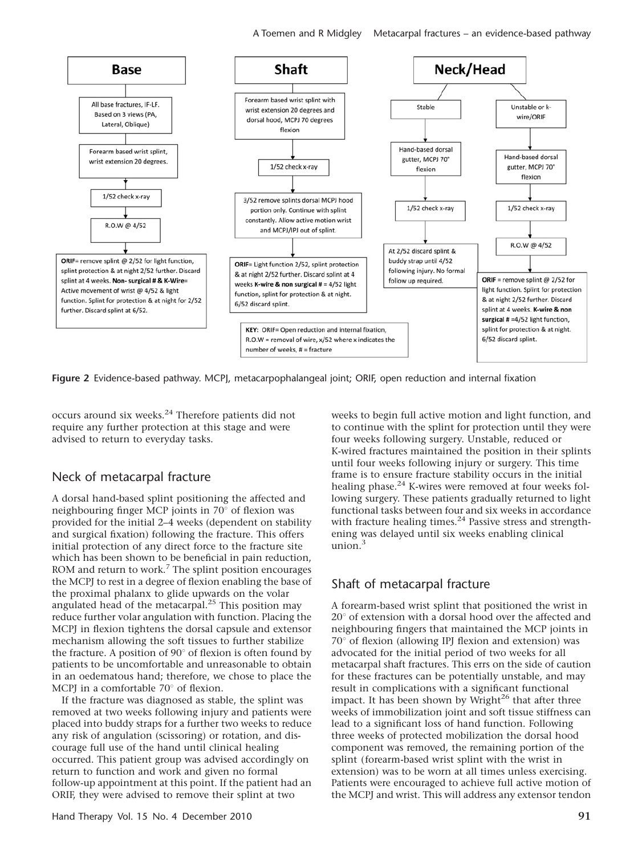

Figure 2 Evidence-based pathway. MCPJ, metacarpophalangeal joint; ORIF, open reduction and internal fixation

occurs around six weeks.<sup>24</sup> Therefore patients did not require any further protection at this stage and were advised to return to everyday tasks.

#### Neck of metacarpal fracture

A dorsal hand-based splint positioning the affected and neighbouring finger MCP joints in  $70^{\circ}$  of flexion was provided for the initial 2–4 weeks (dependent on stability and surgical fixation) following the fracture. This offers initial protection of any direct force to the fracture site which has been shown to be beneficial in pain reduction, ROM and return to work.<sup>7</sup> The splint position encourages the MCPJ to rest in a degree of flexion enabling the base of the proximal phalanx to glide upwards on the volar angulated head of the metacarpal.<sup>25</sup> This position may reduce further volar angulation with function. Placing the MCPJ in flexion tightens the dorsal capsule and extensor mechanism allowing the soft tissues to further stabilize the fracture. A position of  $90^{\circ}$  of flexion is often found by patients to be uncomfortable and unreasonable to obtain in an oedematous hand; therefore, we chose to place the MCPJ in a comfortable  $70^{\circ}$  of flexion.

If the fracture was diagnosed as stable, the splint was removed at two weeks following injury and patients were placed into buddy straps for a further two weeks to reduce any risk of angulation (scissoring) or rotation, and discourage full use of the hand until clinical healing occurred. This patient group was advised accordingly on return to function and work and given no formal follow-up appointment at this point. If the patient had an ORIF, they were advised to remove their splint at two

weeks to begin full active motion and light function, and to continue with the splint for protection until they were four weeks following surgery. Unstable, reduced or K-wired fractures maintained the position in their splints until four weeks following injury or surgery. This time frame is to ensure fracture stability occurs in the initial healing phase.<sup>24</sup> K-wires were removed at four weeks following surgery. These patients gradually returned to light functional tasks between four and six weeks in accordance with fracture healing times.<sup>24</sup> Passive stress and strengthening was delayed until six weeks enabling clinical union $3$ 

#### Shaft of metacarpal fracture

A forearm-based wrist splint that positioned the wrist in  $20^{\circ}$  of extension with a dorsal hood over the affected and neighbouring fingers that maintained the MCP joints in  $70^\circ$  of flexion (allowing IPJ flexion and extension) was advocated for the initial period of two weeks for all metacarpal shaft fractures. This errs on the side of caution for these fractures can be potentially unstable, and may result in complications with a significant functional impact. It has been shown by Wright<sup>26</sup> that after three weeks of immobilization joint and soft tissue stiffness can lead to a significant loss of hand function. Following three weeks of protected mobilization the dorsal hood component was removed, the remaining portion of the splint (forearm-based wrist splint with the wrist in extension) was to be worn at all times unless exercising. Patients were encouraged to achieve full active motion of the MCPJ and wrist. This will address any extensor tendon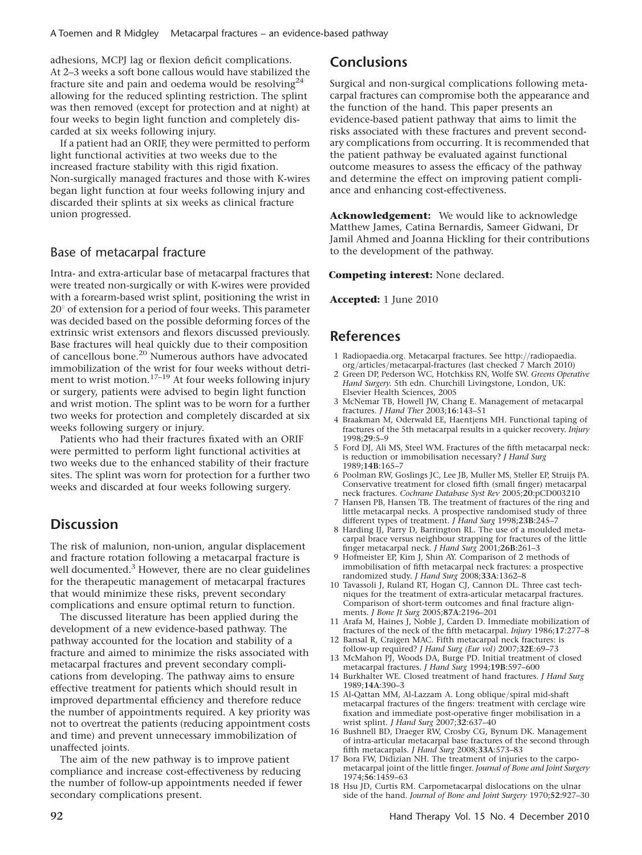adhesions, MCPJ lag or flexion deficit complications. At 2–3 weeks a soft bone callous would have stabilized the fracture site and pain and oedema would be resolving<sup>24</sup> allowing for the reduced splinting restriction. The splint was then removed (except for protection and at night) at four weeks to begin light function and completely discarded at six weeks following injury.

If a patient had an ORIF, they were permitted to perform light functional activities at two weeks due to the increased fracture stability with this rigid fixation. Non-surgically managed fractures and those with K-wires began light function at four weeks following injury and discarded their splints at six weeks as clinical fracture union progressed.

#### Base of metacarpal fracture

Intra- and extra-articular base of metacarpal fractures that were treated non-surgically or with K-wires were provided with a forearm-based wrist splint, positioning the wrist in  $20^{\circ}$  of extension for a period of four weeks. This parameter was decided based on the possible deforming forces of the extrinsic wrist extensors and flexors discussed previously. Base fractures will heal quickly due to their composition of cancellous bone.<sup>20</sup> Numerous authors have advocated immobilization of the wrist for four weeks without detriment to wrist motion.<sup>17–19</sup> At four weeks following injury or surgery, patients were advised to begin light function and wrist motion. The splint was to be worn for a further two weeks for protection and completely discarded at six weeks following surgery or injury.

Patients who had their fractures fixated with an ORIF were permitted to perform light functional activities at two weeks due to the enhanced stability of their fracture sites. The splint was worn for protection for a further two weeks and discarded at four weeks following surgery.

# **Discussion**

The risk of malunion, non-union, angular displacement and fracture rotation following a metacarpal fracture is well documented.<sup>3</sup> However, there are no clear guidelines for the therapeutic management of metacarpal fractures that would minimize these risks, prevent secondary complications and ensure optimal return to function.

The discussed literature has been applied during the development of a new evidence-based pathway. The pathway accounted for the location and stability of a fracture and aimed to minimize the risks associated with metacarpal fractures and prevent secondary complications from developing. The pathway aims to ensure effective treatment for patients which should result in improved departmental efficiency and therefore reduce the number of appointments required. A key priority was not to overtreat the patients (reducing appointment costs and time) and prevent unnecessary immobilization of unaffected joints.

The aim of the new pathway is to improve patient compliance and increase cost-effectiveness by reducing the number of follow-up appointments needed if fewer secondary complications present.

# **Conclusions**

Surgical and non-surgical complications following metacarpal fractures can compromise both the appearance and the function of the hand. This paper presents an evidence-based patient pathway that aims to limit the risks associated with these fractures and prevent secondary complications from occurring. It is recommended that the patient pathway be evaluated against functional outcome measures to assess the efficacy of the pathway and determine the effect on improving patient compliance and enhancing cost-effectiveness.

Acknowledgement: We would like to acknowledge Matthew James, Catina Bernardis, Sameer Gidwani, Dr Jamil Ahmed and Joanna Hickling for their contributions to the development of the pathway.

Competing interest: None declared.

Accepted: 1 June 2010

# **References**

- 1 Radiopaedia.org. Metacarpal fractures. See http://radiopaedia. org/articles/metacarpal-fractures (last checked 7 March 2010)
- 2 Green DP, Pederson WC, Hotchkiss RN, Wolfe SW. Greens Operative Hand Surgery. 5th edn. Churchill Livingstone, London, UK: Elsevier Health Sciences, 2005
- 3 McNemar TB, Howell JW, Chang E. Management of metacarpal fractures. J Hand Ther 2003;16:143–51
- 4 Braakman M, Oderwald EE, Haentjens MH. Functional taping of fractures of the 5th metacarpal results in a quicker recovery. Injury 1998;29:5–9
- 5 Ford DJ, Ali MS, Steel WM. Fractures of the fifth metacarpal neck: is reduction or immobilisation necessary? J Hand Surg 1989;14B:165–7
- 6 Poolman RW, Goslings JC, Lee JB, Muller MS, Steller EP, Struijs PA. Conservative treatment for closed fifth (small finger) metacarpal neck fractures. Cochrane Database Syst Rev 2005;20:pCD003210
- 7 Hansen PB, Hansen TB. The treatment of fractures of the ring and little metacarpal necks. A prospective randomised study of three different types of treatment. *J Hand Surg* 1998;23B:245-7
- 8 Harding IJ, Parry D, Barrington RL. The use of a moulded metacarpal brace versus neighbour strapping for fractures of the little finger metacarpal neck. J Hand Surg 2001;26B:261–3
- 9 Hofmeister EP, Kim J, Shin AY. Comparison of 2 methods of immobilisation of fifth metacarpal neck fractures: a prospective randomized study. J Hand Surg 2008;33A:1362-8
- 10 Tavassoli J, Ruland RT, Hogan CJ, Cannon DL. Three cast techniques for the treatment of extra-articular metacarpal fractures. Comparison of short-term outcomes and final fracture alignments. J Bone Jt Surg 2005;87A:2196–201
- 11 Arafa M, Haines J, Noble J, Carden D. Immediate mobilization of fractures of the neck of the fifth metacarpal. Injury 1986;17:277–8
- 12 Bansal R, Craigen MAC. Fifth metacarpal neck fractures: is follow-up required? J Hand Surg (Eur vol) 2007;32E:69–73
- 13 McMahon PJ, Woods DA, Burge PD. Initial treatment of closed metacarpal fractures. J Hand Surg 1994;19B:597–600
- 14 Burkhalter WE. Closed treatment of hand fractures. J Hand Surg 1989;14A:390–3
- 15 Al-Qattan MM, Al-Lazzam A. Long oblique/spiral mid-shaft metacarpal fractures of the fingers: treatment with cerclage wire fixation and immediate post-operative finger mobilisation in a wrist splint. J Hand Surg 2007;32:637–40
- 16 Bushnell BD, Draeger RW, Crosby CG, Bynum DK. Management of intra-articular metacarpal base fractures of the second through fifth metacarpals. J Hand Surg 2008;33A:573–83
- 17 Bora FW, Didizian NH. The treatment of injuries to the carpometacarpal joint of the little finger. Journal of Bone and Joint Surgery 1974;56:1459–63
- 18 Hsu JD, Curtis RM. Carpometacarpal dislocations on the ulnar side of the hand. Journal of Bone and Joint Surgery 1970;52:927–30